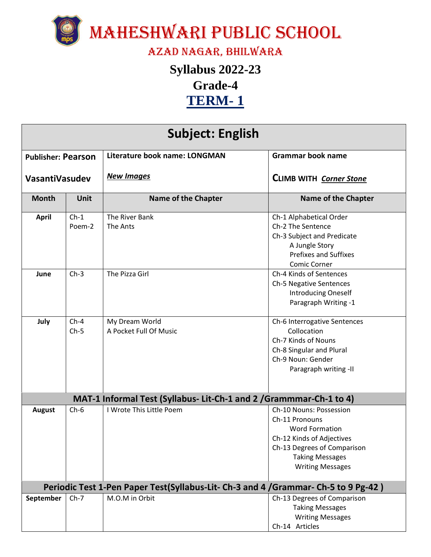

## Azad Nagar, Bhilwara

## **Syllabus 2022-23 Grade-4 TERM- 1**

| <b>Subject: English</b>   |                  |                                                                                     |                                                                                                                                                                                     |  |  |
|---------------------------|------------------|-------------------------------------------------------------------------------------|-------------------------------------------------------------------------------------------------------------------------------------------------------------------------------------|--|--|
| <b>Publisher: Pearson</b> |                  | Literature book name: LONGMAN                                                       | <b>Grammar book name</b>                                                                                                                                                            |  |  |
| VasantiVasudev            |                  | <b>New Images</b>                                                                   | CLIMB WITH Corner Stone                                                                                                                                                             |  |  |
| <b>Month</b>              | Unit             | <b>Name of the Chapter</b>                                                          | <b>Name of the Chapter</b>                                                                                                                                                          |  |  |
| <b>April</b>              | $Ch-1$<br>Poem-2 | The River Bank<br>The Ants                                                          | Ch-1 Alphabetical Order<br>Ch-2 The Sentence<br>Ch-3 Subject and Predicate<br>A Jungle Story<br><b>Prefixes and Suffixes</b><br>Comic Corner                                        |  |  |
| June                      | $Ch-3$           | The Pizza Girl                                                                      | Ch-4 Kinds of Sentences<br>Ch-5 Negative Sentences<br><b>Introducing Oneself</b><br>Paragraph Writing -1                                                                            |  |  |
| July                      | $Ch-4$<br>$Ch-5$ | My Dream World<br>A Pocket Full Of Music                                            | Ch-6 Interrogative Sentences<br>Collocation<br>Ch-7 Kinds of Nouns<br>Ch-8 Singular and Plural<br>Ch-9 Noun: Gender<br>Paragraph writing -II                                        |  |  |
|                           |                  | MAT-1 Informal Test (Syllabus- Lit-Ch-1 and 2 / Grammmar-Ch-1 to 4)                 |                                                                                                                                                                                     |  |  |
| <b>August</b>             | $Ch-6$           | I Wrote This Little Poem                                                            | Ch-10 Nouns: Possession<br>Ch-11 Pronouns<br><b>Word Formation</b><br>Ch-12 Kinds of Adjectives<br>Ch-13 Degrees of Comparison<br><b>Taking Messages</b><br><b>Writing Messages</b> |  |  |
|                           |                  | Periodic Test 1-Pen Paper Test(Syllabus-Lit- Ch-3 and 4 / Grammar- Ch-5 to 9 Pg-42) |                                                                                                                                                                                     |  |  |
| September                 | $Ch-7$           | M.O.M in Orbit                                                                      | Ch-13 Degrees of Comparison<br><b>Taking Messages</b><br><b>Writing Messages</b><br>Ch-14 Articles                                                                                  |  |  |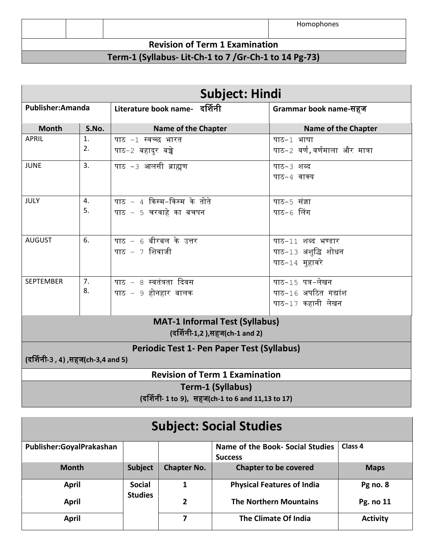|                                                        |  |  | Homophones |  |
|--------------------------------------------------------|--|--|------------|--|
| <b>Revision of Term 1 Examination</b>                  |  |  |            |  |
| Term-1 (Syllabus- Lit-Ch-1 to 7 / Gr-Ch-1 to 14 Pg-73) |  |  |            |  |

| <b>Subject: Hindi</b>                                                                   |                      |                                                        |                                                               |  |
|-----------------------------------------------------------------------------------------|----------------------|--------------------------------------------------------|---------------------------------------------------------------|--|
| Publisher: Amanda                                                                       |                      | Literature book name- दर्शिनी                          | Grammar book name-सहज                                         |  |
| <b>Month</b>                                                                            | S.No.                | <b>Name of the Chapter</b>                             | <b>Name of the Chapter</b>                                    |  |
| <b>APRIL</b>                                                                            | 1.<br>2.             | पाठ −1 स्वच्छ भारत<br>पाठ−2 बहादुर बच्चे               | पाठ-1 भाषा<br>पाठ−2 वर्ण,वर्णमाला और मात्रा                   |  |
| <b>JUNE</b>                                                                             | 3.                   | पाठ -3 आलसी ब्राह्मण                                   | पाठ-3 शब्द<br>पाठ-4 वाक्य                                     |  |
| JULY                                                                                    | 4.<br>5.             | पाठ $-4$ किस्म-किस्म के तोते<br>पाठ - 5 चरवाहे का बचपन | पाठ-5 संज्ञा<br>पाठ−6 लिंग                                    |  |
| <b>AUGUST</b>                                                                           | 6.                   | पाठ - 6 बीरबल के उत्तर<br>पाठ $-7$ शिवाजी              | पाठ-11 शब्द भण्डार<br>पाठ-13 अशुद्धि शोधन<br>पाठ-14 मुहावरे   |  |
| <b>SEPTEMBER</b>                                                                        | 7 <sub>1</sub><br>8. | पाठ $-8$ स्वतंत्रता दिवस<br>पाठ – 9 होनहार बालक        | पाठ-15 पत्र-लेखन<br>पाठ-16 अपठित गद्यांश<br>पाठ-17 कहानी लेखन |  |
| <b>MAT-1 Informal Test (Syllabus)</b><br>(दर्शिनी-1,2),सहज(ch-1 and 2)                  |                      |                                                        |                                                               |  |
| <b>Periodic Test 1- Pen Paper Test (Syllabus)</b><br>(दर्शिनी-3 , 4) ,सहज(ch-3,4 and 5) |                      |                                                        |                                                               |  |
| <b>Revision of Term 1 Examination</b>                                                   |                      |                                                        |                                                               |  |
| Term-1 (Syllabus)<br>(दर्शिनी- 1 to 9), सहज(ch-1 to 6 and 11,13 to 17)                  |                      |                                                        |                                                               |  |

| <b>Subject: Social Studies</b> |                                 |                                                        |                                   |                 |
|--------------------------------|---------------------------------|--------------------------------------------------------|-----------------------------------|-----------------|
| Publisher:GoyalPrakashan       |                                 | Name of the Book- Social Studies<br>Class <sub>4</sub> |                                   |                 |
|                                |                                 |                                                        | <b>Success</b>                    |                 |
| <b>Month</b>                   | <b>Subject</b>                  | <b>Chapter No.</b>                                     | <b>Chapter to be covered</b>      | <b>Maps</b>     |
| April                          | <b>Social</b><br><b>Studies</b> | 1                                                      | <b>Physical Features of India</b> | Pg no. 8        |
| April                          |                                 | 2                                                      | <b>The Northern Mountains</b>     | Pg. no 11       |
| April                          |                                 |                                                        | The Climate Of India              | <b>Activity</b> |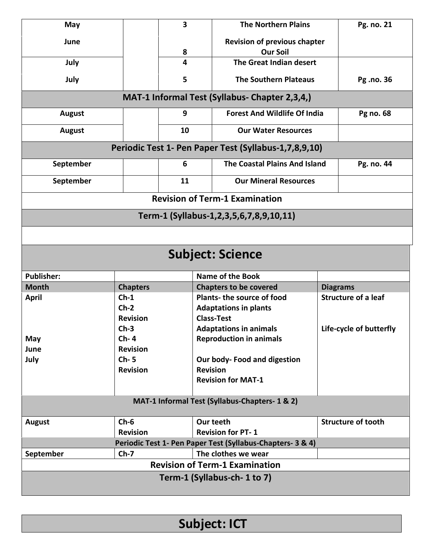| May                                            |                 | $\overline{\mathbf{3}}$<br><b>The Northern Plains</b>       |                                                            |  | Pg. no. 21                 |
|------------------------------------------------|-----------------|-------------------------------------------------------------|------------------------------------------------------------|--|----------------------------|
| June                                           |                 | <b>Revision of previous chapter</b><br><b>Our Soil</b><br>8 |                                                            |  |                            |
| July                                           |                 | 4                                                           | The Great Indian desert                                    |  |                            |
| July                                           |                 | 5                                                           | <b>The Southern Plateaus</b>                               |  | Pg .no. 36                 |
|                                                |                 |                                                             |                                                            |  |                            |
|                                                |                 |                                                             | MAT-1 Informal Test (Syllabus- Chapter 2,3,4,)             |  |                            |
| <b>August</b>                                  |                 | 9                                                           | <b>Forest And Wildlife Of India</b>                        |  | Pg no. 68                  |
| <b>August</b>                                  |                 | 10                                                          | <b>Our Water Resources</b>                                 |  |                            |
|                                                |                 |                                                             | Periodic Test 1- Pen Paper Test (Syllabus-1,7,8,9,10)      |  |                            |
| September                                      |                 | 6                                                           | The Coastal Plains And Island                              |  | Pg. no. 44                 |
| September                                      |                 | 11                                                          | <b>Our Mineral Resources</b>                               |  |                            |
|                                                |                 |                                                             | <b>Revision of Term-1 Examination</b>                      |  |                            |
|                                                |                 |                                                             | Term-1 (Syllabus-1,2,3,5,6,7,8,9,10,11)                    |  |                            |
|                                                |                 |                                                             |                                                            |  |                            |
|                                                |                 |                                                             |                                                            |  |                            |
|                                                |                 |                                                             | <b>Subject: Science</b>                                    |  |                            |
| <b>Publisher:</b>                              |                 |                                                             | <b>Name of the Book</b>                                    |  |                            |
| <b>Month</b>                                   | <b>Chapters</b> | <b>Chapters to be covered</b>                               |                                                            |  | <b>Diagrams</b>            |
| <b>April</b>                                   | $Ch-1$          | Plants- the source of food                                  |                                                            |  | <b>Structure of a leaf</b> |
|                                                | $Ch-2$          |                                                             | <b>Adaptations in plants</b>                               |  |                            |
|                                                | <b>Revision</b> |                                                             | <b>Class-Test</b>                                          |  |                            |
|                                                | $Ch-3$          |                                                             | <b>Adaptations in animals</b>                              |  | Life-cycle of butterfly    |
| May                                            | $Ch-4$          |                                                             | <b>Reproduction in animals</b>                             |  |                            |
| June                                           | <b>Revision</b> |                                                             |                                                            |  |                            |
| July                                           | $Ch-5$          |                                                             | Our body- Food and digestion                               |  |                            |
|                                                | <b>Revision</b> |                                                             | <b>Revision</b>                                            |  |                            |
|                                                |                 |                                                             | <b>Revision for MAT-1</b>                                  |  |                            |
|                                                |                 |                                                             |                                                            |  |                            |
| MAT-1 Informal Test (Syllabus-Chapters- 1 & 2) |                 |                                                             |                                                            |  |                            |
| <b>August</b>                                  | $Ch-6$          |                                                             | Our teeth                                                  |  | <b>Structure of tooth</b>  |
|                                                | <b>Revision</b> | <b>Revision for PT-1</b>                                    |                                                            |  |                            |
|                                                |                 |                                                             | Periodic Test 1- Pen Paper Test (Syllabus-Chapters- 3 & 4) |  |                            |
| September                                      | $Ch-7$          |                                                             | The clothes we wear                                        |  |                            |
| <b>Revision of Term-1 Examination</b>          |                 |                                                             |                                                            |  |                            |
| Term-1 (Syllabus-ch-1 to 7)                    |                 |                                                             |                                                            |  |                            |
|                                                |                 |                                                             |                                                            |  |                            |

**Subject: ICT**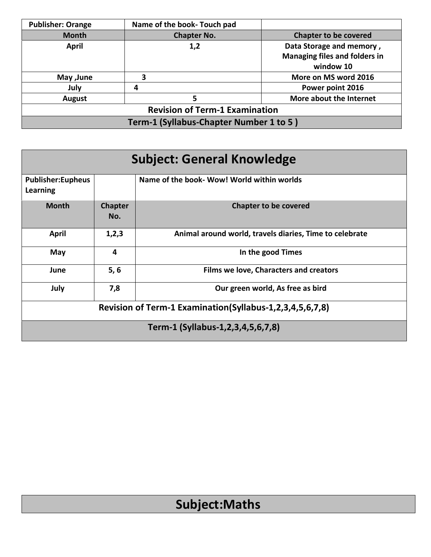| <b>Publisher: Orange</b>                | Name of the book- Touch pad |                                      |  |  |
|-----------------------------------------|-----------------------------|--------------------------------------|--|--|
| <b>Month</b>                            | <b>Chapter No.</b>          | <b>Chapter to be covered</b>         |  |  |
| April                                   | 1,2                         | Data Storage and memory,             |  |  |
|                                         |                             | <b>Managing files and folders in</b> |  |  |
|                                         |                             | window 10                            |  |  |
| May , June                              |                             | More on MS word 2016                 |  |  |
| July                                    | 4                           | Power point 2016                     |  |  |
| <b>August</b>                           |                             | More about the Internet              |  |  |
| <b>Revision of Term-1 Examination</b>   |                             |                                      |  |  |
| Term-1 (Syllabus-Chapter Number 1 to 5) |                             |                                      |  |  |

| <b>Subject: General Knowledge</b>                        |                       |                                                         |  |  |
|----------------------------------------------------------|-----------------------|---------------------------------------------------------|--|--|
| <b>Publisher:Eupheus</b><br>Learning                     |                       | Name of the book- Wow! World within worlds              |  |  |
| <b>Month</b>                                             | <b>Chapter</b><br>No. | <b>Chapter to be covered</b>                            |  |  |
| April                                                    | 1,2,3                 | Animal around world, travels diaries, Time to celebrate |  |  |
| May                                                      | 4                     | In the good Times                                       |  |  |
| June                                                     | 5, 6                  | Films we love, Characters and creators                  |  |  |
| July                                                     | 7,8                   | Our green world, As free as bird                        |  |  |
| Revision of Term-1 Examination(Syllabus-1,2,3,4,5,6,7,8) |                       |                                                         |  |  |
| Term-1 (Syllabus-1,2,3,4,5,6,7,8)                        |                       |                                                         |  |  |

## **Subject:Maths**